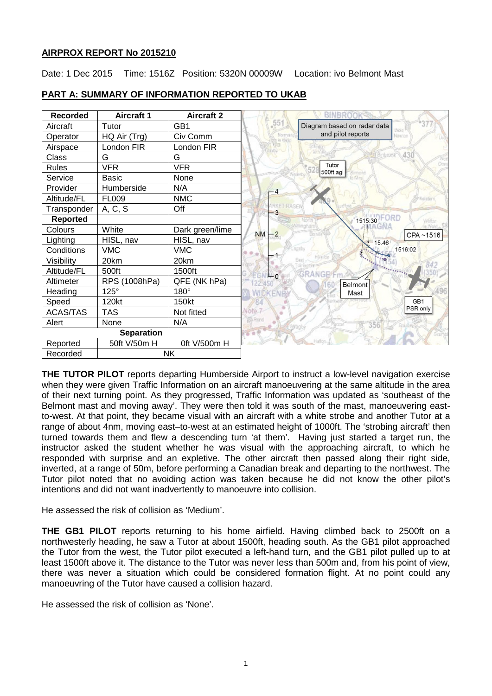# **AIRPROX REPORT No 2015210**

Date: 1 Dec 2015 Time: 1516Z Position: 5320N 00009W Location: ivo Belmont Mast



# **PART A: SUMMARY OF INFORMATION REPORTED TO UKAB**

**THE TUTOR PILOT** reports departing Humberside Airport to instruct a low-level navigation exercise when they were given Traffic Information on an aircraft manoeuvering at the same altitude in the area of their next turning point. As they progressed, Traffic Information was updated as 'southeast of the Belmont mast and moving away'. They were then told it was south of the mast, manoeuvering eastto-west. At that point, they became visual with an aircraft with a white strobe and another Tutor at a range of about 4nm, moving east–to-west at an estimated height of 1000ft. The 'strobing aircraft' then turned towards them and flew a descending turn 'at them'. Having just started a target run, the instructor asked the student whether he was visual with the approaching aircraft, to which he responded with surprise and an expletive. The other aircraft then passed along their right side, inverted, at a range of 50m, before performing a Canadian break and departing to the northwest. The Tutor pilot noted that no avoiding action was taken because he did not know the other pilot's intentions and did not want inadvertently to manoeuvre into collision.

He assessed the risk of collision as 'Medium'.

**THE GB1 PILOT** reports returning to his home airfield. Having climbed back to 2500ft on a northwesterly heading, he saw a Tutor at about 1500ft, heading south. As the GB1 pilot approached the Tutor from the west, the Tutor pilot executed a left-hand turn, and the GB1 pilot pulled up to at least 1500ft above it. The distance to the Tutor was never less than 500m and, from his point of view, there was never a situation which could be considered formation flight. At no point could any manoeuvring of the Tutor have caused a collision hazard.

He assessed the risk of collision as 'None'.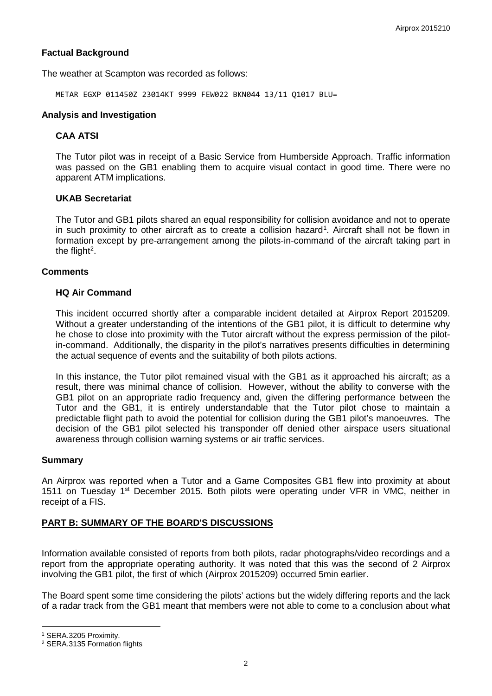# **Factual Background**

The weather at Scampton was recorded as follows:

METAR EGXP 011450Z 23014KT 9999 FEW022 BKN044 13/11 Q1017 BLU=

### **Analysis and Investigation**

### **CAA ATSI**

The Tutor pilot was in receipt of a Basic Service from Humberside Approach. Traffic information was passed on the GB1 enabling them to acquire visual contact in good time. There were no apparent ATM implications.

### **UKAB Secretariat**

The Tutor and GB1 pilots shared an equal responsibility for collision avoidance and not to operate in such proximity to other aircraft as to create a collision hazard<sup>[1](#page-1-0)</sup>. Aircraft shall not be flown in formation except by pre-arrangement among the pilots-in-command of the aircraft taking part in the flight<sup>[2](#page-1-1)</sup>.

### **Comments**

### **HQ Air Command**

This incident occurred shortly after a comparable incident detailed at Airprox Report 2015209. Without a greater understanding of the intentions of the GB1 pilot, it is difficult to determine why he chose to close into proximity with the Tutor aircraft without the express permission of the pilotin-command. Additionally, the disparity in the pilot's narratives presents difficulties in determining the actual sequence of events and the suitability of both pilots actions.

In this instance, the Tutor pilot remained visual with the GB1 as it approached his aircraft; as a result, there was minimal chance of collision. However, without the ability to converse with the GB1 pilot on an appropriate radio frequency and, given the differing performance between the Tutor and the GB1, it is entirely understandable that the Tutor pilot chose to maintain a predictable flight path to avoid the potential for collision during the GB1 pilot's manoeuvres. The decision of the GB1 pilot selected his transponder off denied other airspace users situational awareness through collision warning systems or air traffic services.

#### **Summary**

An Airprox was reported when a Tutor and a Game Composites GB1 flew into proximity at about 1511 on Tuesday 1<sup>st</sup> December 2015. Both pilots were operating under VFR in VMC, neither in receipt of a FIS.

### **PART B: SUMMARY OF THE BOARD'S DISCUSSIONS**

Information available consisted of reports from both pilots, radar photographs/video recordings and a report from the appropriate operating authority. It was noted that this was the second of 2 Airprox involving the GB1 pilot, the first of which (Airprox 2015209) occurred 5min earlier.

The Board spent some time considering the pilots' actions but the widely differing reports and the lack of a radar track from the GB1 meant that members were not able to come to a conclusion about what

l

<span id="page-1-0"></span><sup>1</sup> SERA.3205 Proximity.

<span id="page-1-1"></span><sup>2</sup> SERA.3135 Formation flights